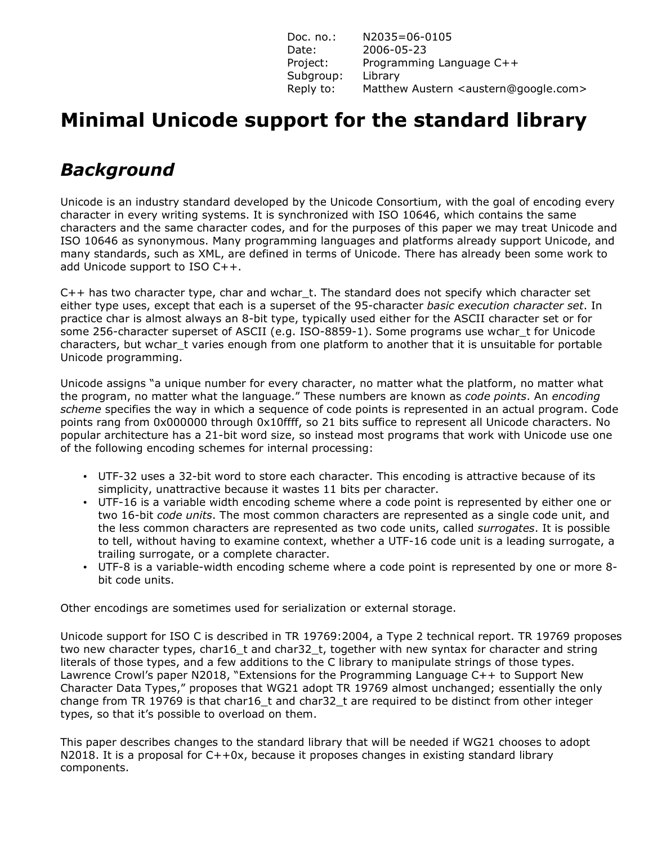| Doc. $no.:$ | N2035=06-0105                                             |
|-------------|-----------------------------------------------------------|
| Date:       | 2006-05-23                                                |
| Project:    | Programming Language C++                                  |
| Subgroup:   | Library                                                   |
| Reply to:   | Matthew Austern <austern@google.com></austern@google.com> |

# **Minimal Unicode support for the standard library**

## *Background*

Unicode is an industry standard developed by the Unicode Consortium, with the goal of encoding every character in every writing systems. It is synchronized with ISO 10646, which contains the same characters and the same character codes, and for the purposes of this paper we may treat Unicode and ISO 10646 as synonymous. Many programming languages and platforms already support Unicode, and many standards, such as XML, are defined in terms of Unicode. There has already been some work to add Unicode support to ISO C++.

C++ has two character type, char and wchar\_t. The standard does not specify which character set either type uses, except that each is a superset of the 95-character *basic execution character set*. In practice char is almost always an 8-bit type, typically used either for the ASCII character set or for some 256-character superset of ASCII (e.g. ISO-8859-1). Some programs use wchar t for Unicode characters, but wchar\_t varies enough from one platform to another that it is unsuitable for portable Unicode programming.

Unicode assigns "a unique number for every character, no matter what the platform, no matter what the program, no matter what the language." These numbers are known as *code points*. An *encoding scheme* specifies the way in which a sequence of code points is represented in an actual program. Code points rang from 0x000000 through 0x10ffff, so 21 bits suffice to represent all Unicode characters. No popular architecture has a 21-bit word size, so instead most programs that work with Unicode use one of the following encoding schemes for internal processing:

- UTF-32 uses a 32-bit word to store each character. This encoding is attractive because of its simplicity, unattractive because it wastes 11 bits per character.
- UTF-16 is a variable width encoding scheme where a code point is represented by either one or two 16-bit *code units*. The most common characters are represented as a single code unit, and the less common characters are represented as two code units, called *surrogates*. It is possible to tell, without having to examine context, whether a UTF-16 code unit is a leading surrogate, a trailing surrogate, or a complete character.
- UTF-8 is a variable-width encoding scheme where a code point is represented by one or more 8 bit code units.

Other encodings are sometimes used for serialization or external storage.

Unicode support for ISO C is described in TR 19769:2004, a Type 2 technical report. TR 19769 proposes two new character types, char16 t and char32 t, together with new syntax for character and string literals of those types, and a few additions to the C library to manipulate strings of those types. Lawrence Crowl's paper N2018, "Extensions for the Programming Language C++ to Support New Character Data Types," proposes that WG21 adopt TR 19769 almost unchanged; essentially the only change from TR 19769 is that char16 t and char32 t are required to be distinct from other integer types, so that it's possible to overload on them.

This paper describes changes to the standard library that will be needed if WG21 chooses to adopt N2018. It is a proposal for C++0x, because it proposes changes in existing standard library components.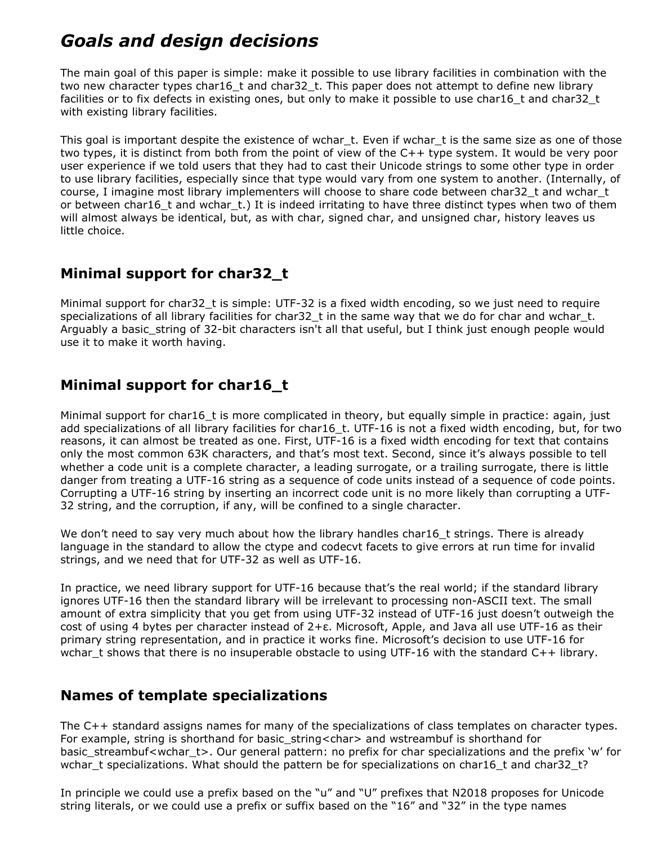## *Goals and design decisions*

The main goal of this paper is simple: make it possible to use library facilities in combination with the two new character types char16 t and char32 t. This paper does not attempt to define new library facilities or to fix defects in existing ones, but only to make it possible to use char16\_t and char32\_t with existing library facilities.

This goal is important despite the existence of wchar\_t. Even if wchar\_t is the same size as one of those two types, it is distinct from both from the point of view of the C++ type system. It would be very poor user experience if we told users that they had to cast their Unicode strings to some other type in order to use library facilities, especially since that type would vary from one system to another. (Internally, of course, I imagine most library implementers will choose to share code between char32\_t and wchar\_t or between char16 t and wchar t.) It is indeed irritating to have three distinct types when two of them will almost always be identical, but, as with char, signed char, and unsigned char, history leaves us little choice.

### **Minimal support for char32\_t**

Minimal support for char32\_t is simple: UTF-32 is a fixed width encoding, so we just need to require specializations of all library facilities for char32\_t in the same way that we do for char and wchar\_t. Arguably a basic\_string of 32-bit characters isn't all that useful, but I think just enough people would use it to make it worth having.

### **Minimal support for char16\_t**

Minimal support for char16\_t is more complicated in theory, but equally simple in practice: again, just add specializations of all library facilities for char16\_t. UTF-16 is not a fixed width encoding, but, for two reasons, it can almost be treated as one. First, UTF-16 is a fixed width encoding for text that contains only the most common 63K characters, and that's most text. Second, since it's always possible to tell whether a code unit is a complete character, a leading surrogate, or a trailing surrogate, there is little danger from treating a UTF-16 string as a sequence of code units instead of a sequence of code points. Corrupting a UTF-16 string by inserting an incorrect code unit is no more likely than corrupting a UTF-32 string, and the corruption, if any, will be confined to a single character.

We don't need to say very much about how the library handles char16\_t strings. There is already language in the standard to allow the ctype and codecvt facets to give errors at run time for invalid strings, and we need that for UTF-32 as well as UTF-16.

In practice, we need library support for UTF-16 because that's the real world; if the standard library ignores UTF-16 then the standard library will be irrelevant to processing non-ASCII text. The small amount of extra simplicity that you get from using UTF-32 instead of UTF-16 just doesn't outweigh the cost of using 4 bytes per character instead of 2+ε. Microsoft, Apple, and Java all use UTF-16 as their primary string representation, and in practice it works fine. Microsoft's decision to use UTF-16 for wchar t shows that there is no insuperable obstacle to using UTF-16 with the standard  $C++$  library.

### **Names of template specializations**

The C++ standard assigns names for many of the specializations of class templates on character types. For example, string is shorthand for basic\_string<char> and wstreambuf is shorthand for basic streambuf<wchar t>. Our general pattern: no prefix for char specializations and the prefix 'w' for wchar t specializations. What should the pattern be for specializations on char16 t and char32 t?

In principle we could use a prefix based on the "u" and "U" prefixes that N2018 proposes for Unicode string literals, or we could use a prefix or suffix based on the "16" and "32" in the type names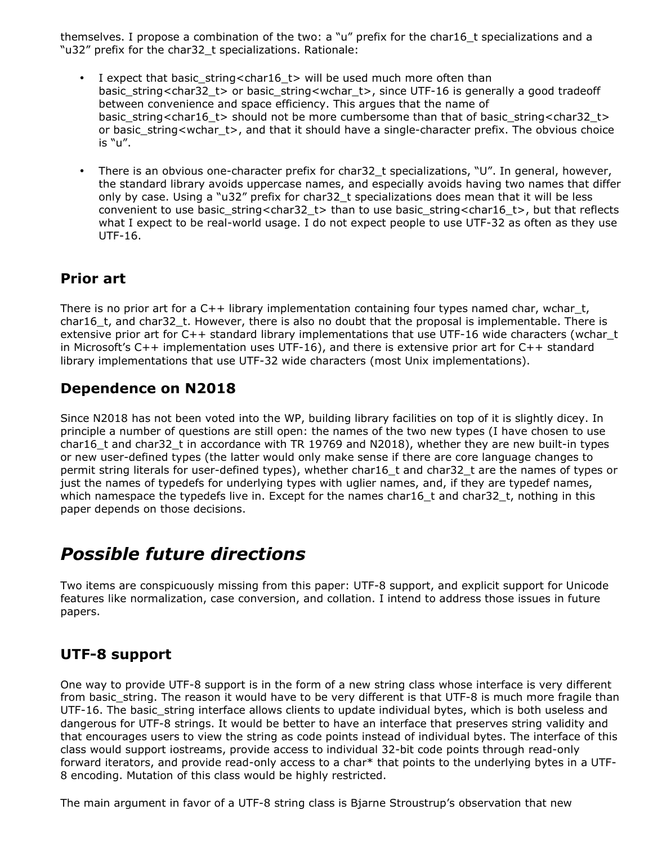themselves. I propose a combination of the two: a "u" prefix for the char16\_t specializations and a "u32" prefix for the char32\_t specializations. Rationale:

- I expect that basic\_string<char16\_t> will be used much more often than basic\_string<char32\_t> or basic\_string<wchar\_t>, since UTF-16 is generally a good tradeoff between convenience and space efficiency. This argues that the name of basic\_string<char16\_t> should not be more cumbersome than that of basic\_string<char32\_t> or basic\_string<wchar\_t>, and that it should have a single-character prefix. The obvious choice is "u".
- There is an obvious one-character prefix for char32\_t specializations, "U". In general, however, the standard library avoids uppercase names, and especially avoids having two names that differ only by case. Using a "u32" prefix for char32\_t specializations does mean that it will be less convenient to use basic\_string<char32\_t> than to use basic\_string<char16\_t>, but that reflects what I expect to be real-world usage. I do not expect people to use UTF-32 as often as they use UTF-16.

### **Prior art**

There is no prior art for a  $C++$  library implementation containing four types named char, wchar  $\pm$ , char16 t, and char32 t. However, there is also no doubt that the proposal is implementable. There is extensive prior art for C++ standard library implementations that use UTF-16 wide characters (wchar\_t in Microsoft's C++ implementation uses UTF-16), and there is extensive prior art for C++ standard library implementations that use UTF-32 wide characters (most Unix implementations).

### **Dependence on N2018**

Since N2018 has not been voted into the WP, building library facilities on top of it is slightly dicey. In principle a number of questions are still open: the names of the two new types (I have chosen to use char16 t and char32 t in accordance with TR 19769 and N2018), whether they are new built-in types or new user-defined types (the latter would only make sense if there are core language changes to permit string literals for user-defined types), whether char16\_t and char32\_t are the names of types or just the names of typedefs for underlying types with uglier names, and, if they are typedef names, which namespace the typedefs live in. Except for the names char16  $t$  and char32  $t$ , nothing in this paper depends on those decisions.

## *Possible future directions*

Two items are conspicuously missing from this paper: UTF-8 support, and explicit support for Unicode features like normalization, case conversion, and collation. I intend to address those issues in future papers.

### **UTF-8 support**

One way to provide UTF-8 support is in the form of a new string class whose interface is very different from basic\_string. The reason it would have to be very different is that UTF-8 is much more fragile than UTF-16. The basic\_string interface allows clients to update individual bytes, which is both useless and dangerous for UTF-8 strings. It would be better to have an interface that preserves string validity and that encourages users to view the string as code points instead of individual bytes. The interface of this class would support iostreams, provide access to individual 32-bit code points through read-only forward iterators, and provide read-only access to a char\* that points to the underlying bytes in a UTF-8 encoding. Mutation of this class would be highly restricted.

The main argument in favor of a UTF-8 string class is Bjarne Stroustrup's observation that new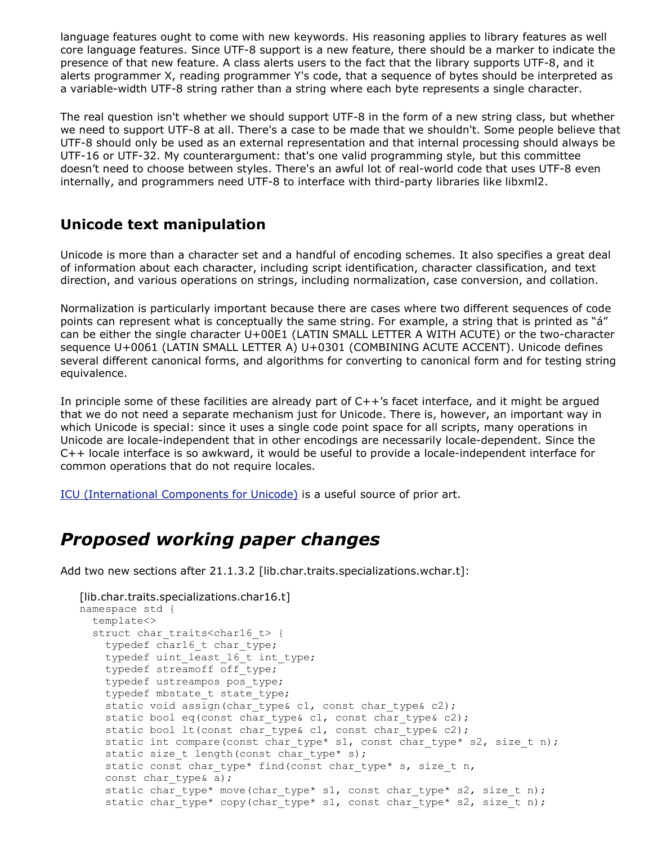language features ought to come with new keywords. His reasoning applies to library features as well core language features. Since UTF-8 support is a new feature, there should be a marker to indicate the presence of that new feature. A class alerts users to the fact that the library supports UTF-8, and it alerts programmer X, reading programmer Y's code, that a sequence of bytes should be interpreted as a variable-width UTF-8 string rather than a string where each byte represents a single character.

The real question isn't whether we should support UTF-8 in the form of a new string class, but whether we need to support UTF-8 at all. There's a case to be made that we shouldn't. Some people believe that UTF-8 should only be used as an external representation and that internal processing should always be UTF-16 or UTF-32. My counterargument: that's one valid programming style, but this committee doesn't need to choose between styles. There's an awful lot of real-world code that uses UTF-8 even internally, and programmers need UTF-8 to interface with third-party libraries like libxml2.

### **Unicode text manipulation**

Unicode is more than a character set and a handful of encoding schemes. It also specifies a great deal of information about each character, including script identification, character classification, and text direction, and various operations on strings, including normalization, case conversion, and collation.

Normalization is particularly important because there are cases where two different sequences of code points can represent what is conceptually the same string. For example, a string that is printed as "á" can be either the single character U+00E1 (LATIN SMALL LETTER A WITH ACUTE) or the two-character sequence U+0061 (LATIN SMALL LETTER A) U+0301 (COMBINING ACUTE ACCENT). Unicode defines several different canonical forms, and algorithms for converting to canonical form and for testing string equivalence.

In principle some of these facilities are already part of  $C++$ 's facet interface, and it might be argued that we do not need a separate mechanism just for Unicode. There is, however, an important way in which Unicode is special: since it uses a single code point space for all scripts, many operations in Unicode are locale-independent that in other encodings are necessarily locale-dependent. Since the C++ locale interface is so awkward, it would be useful to provide a locale-independent interface for common operations that do not require locales.

ICU (International Components for Unicode) is a useful source of prior art.

## *Proposed working paper changes*

Add two new sections after 21.1.3.2 [lib.char.traits.specializations.wchar.t]:

```
[lib.char.traits.specializations.char16.t]
namespace std {
 template<>
  struct char traits<char16 t> {
    typedef char16 t char type;
    typedef uint least 16 t int type;
    typedef streamoff off_type;
    typedef ustreampos pos_type;
    typedef mbstate t state type;
    static void assign(char type& c1, const char type& c2);
    static bool eq(const char type& c1, const char type& c2);
    static bool lt(const char type& c1, const char type& c2);
    static int compare(const char type* s1, const char type* s2, size t n);
    static size t length(const char type* s);
    static const char type* find(const char type* s, size t n,
    const char type& a);
    static char type* move(char type* s1, const char type* s2, size t n);
    static char type* copy(char type* s1, const char type* s2, size t n);
```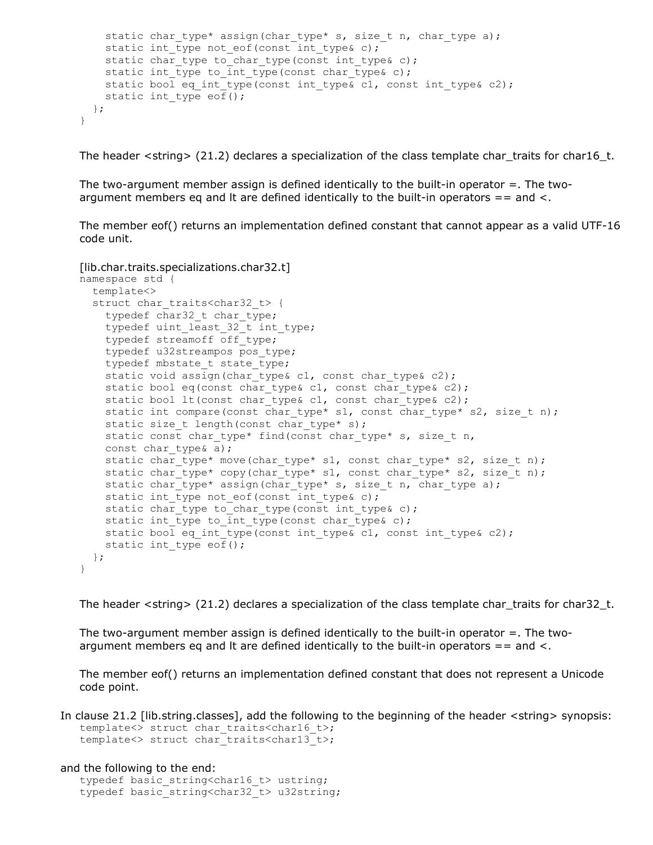```
static char type* assign(char type* s, size t n, char type a);
    static int type not eof(const int type& c);
    static char type to char type(const int type& c);
    static int type to int type(const char type& c);
    static bool eq int type(const int type& c1, const int type& c2);
   static int type \overline{e} \overline{ef}();
 };
}
```
The header  $\langle \sin \theta \rangle$  (21.2) declares a specialization of the class template char\_traits for char16\_t.

The two-argument member assign is defined identically to the built-in operator  $=$ . The twoargument members eq and It are defined identically to the built-in operators  $=$  = and  $\lt$ .

The member eof() returns an implementation defined constant that cannot appear as a valid UTF-16 code unit.

```
[lib.char.traits.specializations.char32.t]
namespace std {
  template<>
  struct char traits<char32 t> {
    typedef char32 t char type;
    typedef uint least 32 t int type;
    typedef streamoff off_type;
    typedef u32streampos pos_type;
    typedef mbstate t state type;
    static void assign(char type& c1, const char type& c2);
    static bool eq(const char type& c1, const char type& c2);
    static bool lt(const char_type& c1, const char_type& c2);
    static int compare(const char type* s1, const char type* s2, size t n);
    static size t length(const char type* s);
    static const char type* find(const char type* s, size t n,
    const char type& a);
    static char type* move(char type* s1, const char type* s2, size t n);
    static char type* copy(char type* s1, const char type* s2, size t n);
    static char type* assign(char type* s, size t n, char type a);
    static int type not eof(const int type& c);
    static char type to char type(const int type& c);
    static int type to int type(const char type& c);
    static bool eq int type(const int type& c1, const int type& c2);
   static int type eof();
 };
}
```
The header  $\langle \sin 2 \rangle$  (21.2) declares a specialization of the class template char\_traits for char32\_t.

The two-argument member assign is defined identically to the built-in operator  $=$ . The twoargument members eq and It are defined identically to the built-in operators  $=$  = and  $\lt$ .

The member eof() returns an implementation defined constant that does not represent a Unicode code point.

In clause 21.2 [lib.string.classes], add the following to the beginning of the header <string> synopsis: template<> struct char traits<char16 t>; template<> struct char traits<char13 t>;

and the following to the end:

typedef basic string<char16 t> ustring; typedef basic string<char32 t> u32string;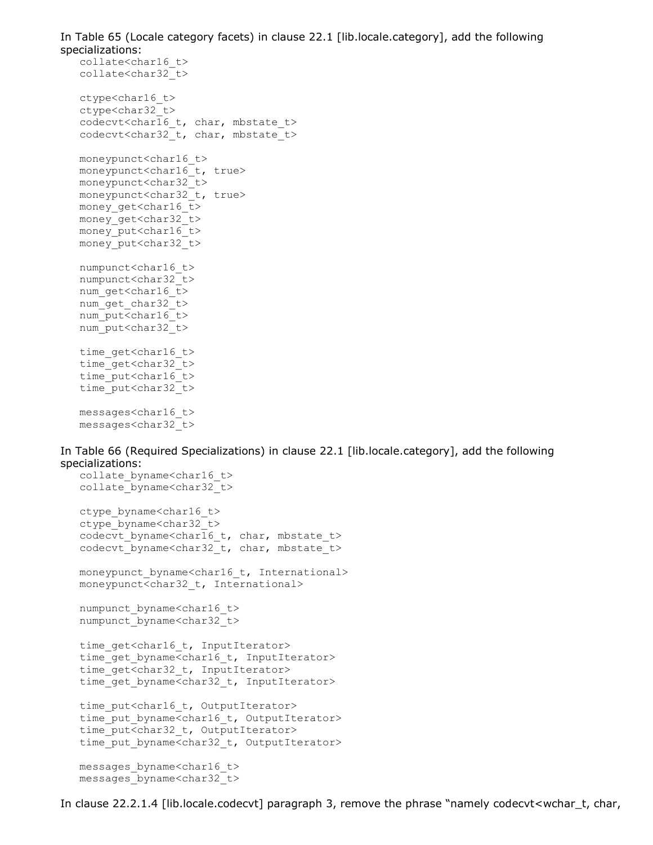In Table 65 (Locale category facets) in clause 22.1 [lib.locale.category], add the following specializations: collate<char16\_t> collate<char32\_t> ctype<char16\_t> ctype<char32\_t> codecvt<char16 t, char, mbstate t> codecvt<char32 t, char, mbstate t> moneypunct<char16\_t> moneypunct<char16 t, true> moneypunct<char32\_t> moneypunct<char32 t, true> money\_get<char16\_t> money\_get<char32\_t> money\_put<char16\_t> money\_put<char32\_t> numpunct<char16\_t> numpunct<char32\_t> num get<char16 t> num qet char32 t> num put<char16 t> num put<char32 t> time\_get<char16\_t> time\_get<char32\_t>

messages<char16\_t> messages<char32\_t>

time\_put<char16\_t> time\_put<char32\_t>

In Table 66 (Required Specializations) in clause 22.1 [lib.locale.category], add the following specializations:

```
collate byname<char16 t>
collate_byname<char32_t>
ctype_byname<char16_t>
ctype_byname<char32_t>
codecvt byname<char16 t, char, mbstate t>
codecvt_byname<char32_t, char, mbstate_t>
moneypunct byname<char16 t, International>
moneypunct<char32_t, International>
numpunct byname<char16 t>
numpunct_byname<char32_t>
time_get<char16_t, InputIterator>
time get byname<char16 t, InputIterator>
time_get<char32_t, InputIterator>
time get byname<char32 t, InputIterator>
time_put<char16_t, OutputIterator>
time put byname<char16 t, OutputIterator>
time_put<char32 t, OutputIterator>
time put byname<char32 t, OutputIterator>
messages_byname<char16_t>
```

```
messages_byname<char32_t>
```
In clause 22.2.1.4 [lib.locale.codecvt] paragraph 3, remove the phrase "namely codecvt<wchar\_t, char,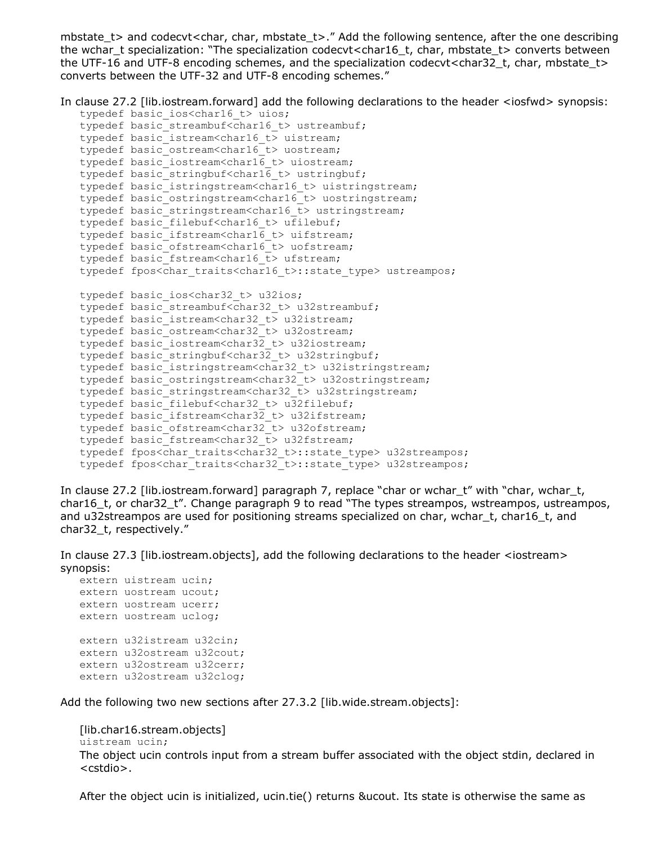mbstate\_t> and codecvt<char, char, mbstate\_t>." Add the following sentence, after the one describing the wchar\_t specialization: "The specialization codecvt<char16\_t, char, mbstate\_t> converts between the UTF-16 and UTF-8 encoding schemes, and the specialization codecvt<char32\_t, char, mbstate\_t> converts between the UTF-32 and UTF-8 encoding schemes."

In clause 27.2 [lib.iostream.forward] add the following declarations to the header <iosfwd> synopsis:

```
typedef basic ios<char16 t> uios;
typedef basic streambuf<char16 t> ustreambuf;
typedef basic istream<char16 t> uistream;
typedef basic_ostream<char16_t> uostream;
typedef basic iostream<char16 t> uiostream;
typedef basic_stringbuf<char16_t> ustringbuf;
typedef basic_istringstream<char16_t> uistringstream;
typedef basic ostringstream<char16 t> uostringstream;
typedef basic stringstream<char16 t> ustringstream;
typedef basic filebuf<char16 t> ufilebuf;
typedef basic ifstream<char16 t> uifstream;
typedef basic ofstream<char16 t> uofstream;
typedef basic fstream<char16 t> ufstream;
typedef fpos<char traits<char16 t>::state type> ustreampos;
typedef basic ios<char32 t> u32ios;
typedef basic streambuf<char32 t> u32streambuf;
typedef basic istream<char32 t> u32istream;
typedef basic_ostream<char32_t> u32ostream;
typedef basic_iostream<char3\overline{2} t> u32iostream;
typedef basic stringbuf<char32 t> u32stringbuf;
typedef basic istringstream<char32 t> u32istringstream;
typedef basic ostringstream<char32 t> u32ostringstream;
typedef basic stringstream<char32 t> u32stringstream;
typedef basic filebuf<char32 t> u32filebuf;
typedef basic_ifstream<char32 t> u32ifstream;
typedef basic_ofstream<char32_t> u32ofstream;
typedef basic fstream<char32 t> u32fstream;
typedef fpos<char traits<char32 t>::state type> u32streampos;
typedef fpos<char traits<char32 t>::state type> u32streampos;
```
In clause 27.2 [lib.iostream.forward] paragraph 7, replace "char or wchar\_t" with "char, wchar\_t, char16\_t, or char32\_t". Change paragraph 9 to read "The types streampos, wstreampos, ustreampos, and u32streampos are used for positioning streams specialized on char, wchar\_t, char16\_t, and char32\_t, respectively."

In clause 27.3 [lib.iostream.objects], add the following declarations to the header <iostream> synopsis:

```
extern uistream ucin;
extern uostream ucout;
extern uostream ucerr;
extern uostream uclog;
extern u32istream u32cin;
extern u32ostream u32cout;
extern u32ostream u32cerr;
extern u32ostream u32clog;
```
Add the following two new sections after 27.3.2 [lib.wide.stream.objects]:

```
[lib.char16.stream.objects]
uistream ucin;
The object ucin controls input from a stream buffer associated with the object stdin, declared in
<cstdio>.
```
After the object ucin is initialized, ucin.tie() returns &ucout. Its state is otherwise the same as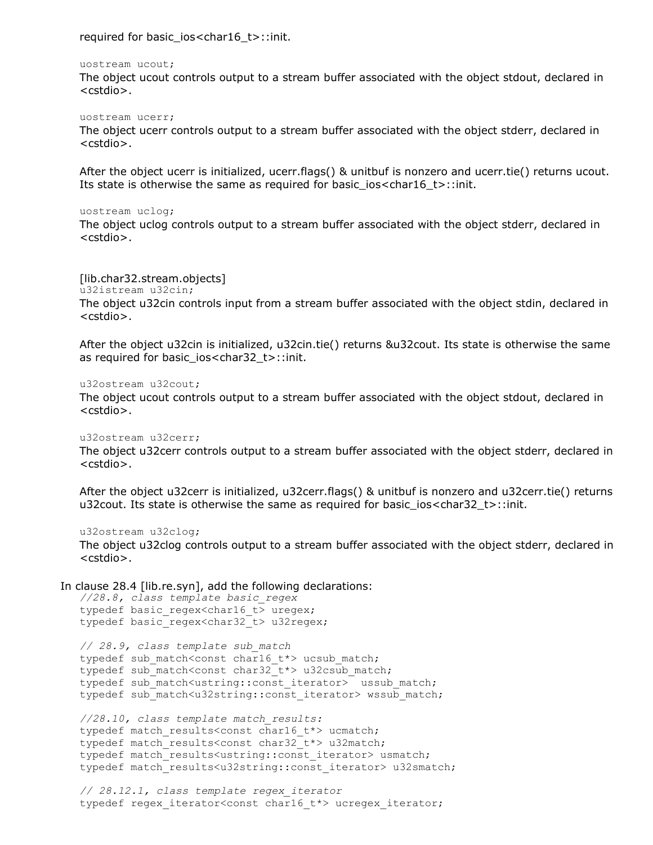required for basic\_ios<char16\_t>::init.

#### uostream ucout;

The object ucout controls output to a stream buffer associated with the object stdout, declared in <cstdio>.

#### uostream ucerr;

The object ucerr controls output to a stream buffer associated with the object stderr, declared in <cstdio>.

After the object ucerr is initialized, ucerr.flags() & unitbuf is nonzero and ucerr.tie() returns ucout. Its state is otherwise the same as required for basic ios<char16 t>::init.

#### uostream uclog;

The object uclog controls output to a stream buffer associated with the object stderr, declared in <cstdio>.

#### [lib.char32.stream.objects]

u32istream u32cin;

The object u32cin controls input from a stream buffer associated with the object stdin, declared in <cstdio>.

After the object u32cin is initialized, u32cin.tie() returns &u32cout. Its state is otherwise the same as required for basic\_ios<char32\_t>::init.

#### u32ostream u32cout;

The object ucout controls output to a stream buffer associated with the object stdout, declared in <cstdio>.

#### u32ostream u32cerr;

The object u32cerr controls output to a stream buffer associated with the object stderr, declared in <cstdio>.

After the object u32cerr is initialized, u32cerr.flags() & unitbuf is nonzero and u32cerr.tie() returns u32cout. Its state is otherwise the same as required for basic\_ios<char32\_t>::init.

u32ostream u32clog;

The object u32clog controls output to a stream buffer associated with the object stderr, declared in <cstdio>.

#### In clause 28.4 [lib.re.syn], add the following declarations:

```
//28.8, class template basic_regex
typedef basic regex<char16 t uregex;
typedef basic regex<char32 t> u32regex;
// 28.9, class template sub_match
typedef sub match<const char16 t*> ucsub match;
typedef sub match<const char32 t*> u32csub match;
typedef sub match<ustring::const iterator> ussub match;
typedef sub match<u32string::const iterator> wssub match;
//28.10, class template match_results:
typedef match results<const char16 t*> ucmatch;
typedef match results<const char32<sup>-t*></sup> u32match;
typedef match results<ustring::const iterator> usmatch;
typedef match_results<u32string::const_iterator> u32smatch;
// 28.12.1, class template regex_iterator
typedef regex iterator<const char16 t*> ucregex iterator;
```